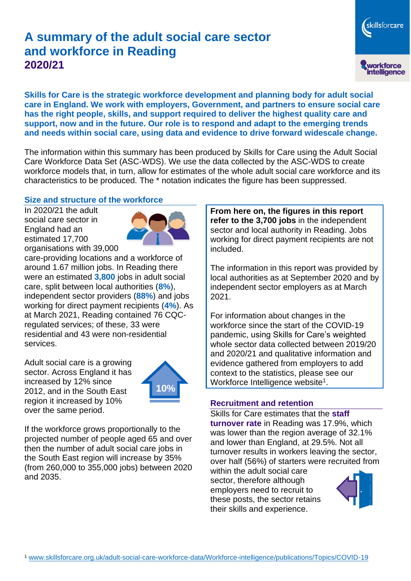# **A summary of the adult social care sector and workforce in Reading 2020/21**

**Skills for Care is the strategic workforce development and planning body for adult social care in England. We work with employers, Government, and partners to ensure social care has the right people, skills, and support required to deliver the highest quality care and support, now and in the future. Our role is to respond and adapt to the emerging trends and needs within social care, using data and evidence to drive forward widescale change.**

The information within this summary has been produced by Skills for Care using the Adult Social Care Workforce Data Set (ASC-WDS). We use the data collected by the ASC-WDS to create workforce models that, in turn, allow for estimates of the whole adult social care workforce and its characteristics to be produced. The \* notation indicates the figure has been suppressed.

#### **Size and structure of the workforce**

In 2020/21 the adult social care sector in England had an estimated 17,700 organisations with 39,000



care-providing locations and a workforce of around 1.67 million jobs. In Reading there were an estimated **3,800** jobs in adult social care, split between local authorities (**8%**), independent sector providers (**88%**) and jobs working for direct payment recipients (**4%**). As at March 2021, Reading contained 76 CQCregulated services; of these, 33 were residential and 43 were non-residential services.

Adult social care is a growing sector. Across England it has increased by 12% since 2012, and in the South East region it increased by 10% over the same period.



If the workforce grows proportionally to the projected number of people aged 65 and over then the number of adult social care jobs in the South East region will increase by 35% (from 260,000 to 355,000 jobs) between 2020 and 2035.

**From here on, the figures in this report refer to the 3,700 jobs** in the independent sector and local authority in Reading. Jobs working for direct payment recipients are not included.

The information in this report was provided by local authorities as at September 2020 and by independent sector employers as at March 2021.

For information about changes in the workforce since the start of the COVID-19 pandemic, using Skills for Care's weighted whole sector data collected between 2019/20 and 2020/21 and qualitative information and evidence gathered from employers to add context to the statistics, please see our Workforce Intelligence website<sup>1</sup>.

#### **Recruitment and retention**

Skills for Care estimates that the **staff turnover rate** in Reading was 17.9%, which was lower than the region average of 32.1% and lower than England, at 29.5%. Not all turnover results in workers leaving the sector, over half (56%) of starters were recruited from

within the adult social care sector, therefore although employers need to recruit to these posts, the sector retains their skills and experience.



skillsforcare

workforce<br>intelligence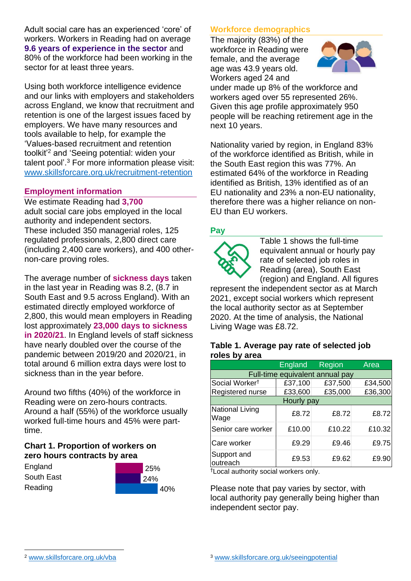Adult social care has an experienced 'core' of workers. Workers in Reading had on average **9.6 years of experience in the sector** and 80% of the workforce had been working in the sector for at least three years.

Using both workforce intelligence evidence and our links with employers and stakeholders across England, we know that recruitment and retention is one of the largest issues faced by employers. We have many resources and tools available to help, for example the 'Values-based recruitment and retention toolkit'<sup>2</sup> and 'Seeing potential: widen your talent pool'. <sup>3</sup> For more information please visit: [www.skillsforcare.org.uk/recruitment-retention](http://www.skillsforcare.org.uk/recruitment-retention)

#### **Employment information**

We estimate Reading had **3,700** adult social care jobs employed in the local authority and independent sectors. These included 350 managerial roles, 125 regulated professionals, 2,800 direct care (including 2,400 care workers), and 400 othernon-care proving roles.

The average number of **sickness days** taken in the last year in Reading was 8.2, (8.7 in South East and 9.5 across England). With an estimated directly employed workforce of 2,800, this would mean employers in Reading lost approximately **23,000 days to sickness in 2020/21**. In England levels of staff sickness have nearly doubled over the course of the pandemic between 2019/20 and 2020/21, in total around 6 million extra days were lost to sickness than in the year before.

Around two fifths (40%) of the workforce in Reading were on zero-hours contracts. Around a half (55%) of the workforce usually worked full-time hours and 45% were parttime.

### **Chart 1. Proportion of workers on zero hours contracts by area**

**England** South East Reading



### **Workforce demographics**

The majority (83%) of the workforce in Reading were female, and the average age was 43.9 years old. Workers aged 24 and



under made up 8% of the workforce and workers aged over 55 represented 26%. Given this age profile approximately 950 people will be reaching retirement age in the next 10 years.

Nationality varied by region, in England 83% of the workforce identified as British, while in the South East region this was 77%. An estimated 64% of the workforce in Reading identified as British, 13% identified as of an EU nationality and 23% a non-EU nationality, therefore there was a higher reliance on non-EU than EU workers.

### **Pay**



Table 1 shows the full-time equivalent annual or hourly pay rate of selected job roles in Reading (area), South East (region) and England. All figures

represent the independent sector as at March 2021, except social workers which represent the local authority sector as at September 2020. At the time of analysis, the National Living Wage was £8.72.

#### **Table 1. Average pay rate of selected job roles by area**

|                                 | <b>England</b> | <b>Region</b> | Area    |
|---------------------------------|----------------|---------------|---------|
| Full-time equivalent annual pay |                |               |         |
| Social Worker <sup>t</sup>      | £37,100        | £37,500       | £34,500 |
| Registered nurse                | £33,600        | £35,000       | £36,300 |
| Hourly pay                      |                |               |         |
| National Living<br>Wage         | £8.72          | £8.72         | £8.72   |
| Senior care worker              | £10.00         | £10.22        | £10.32  |
| Care worker                     | £9.29          | £9.46         | £9.75   |
| Support and<br>outreach         | £9.53          | £9.62         | £9.90   |

†Local authority social workers only.

Please note that pay varies by sector, with local authority pay generally being higher than independent sector pay.